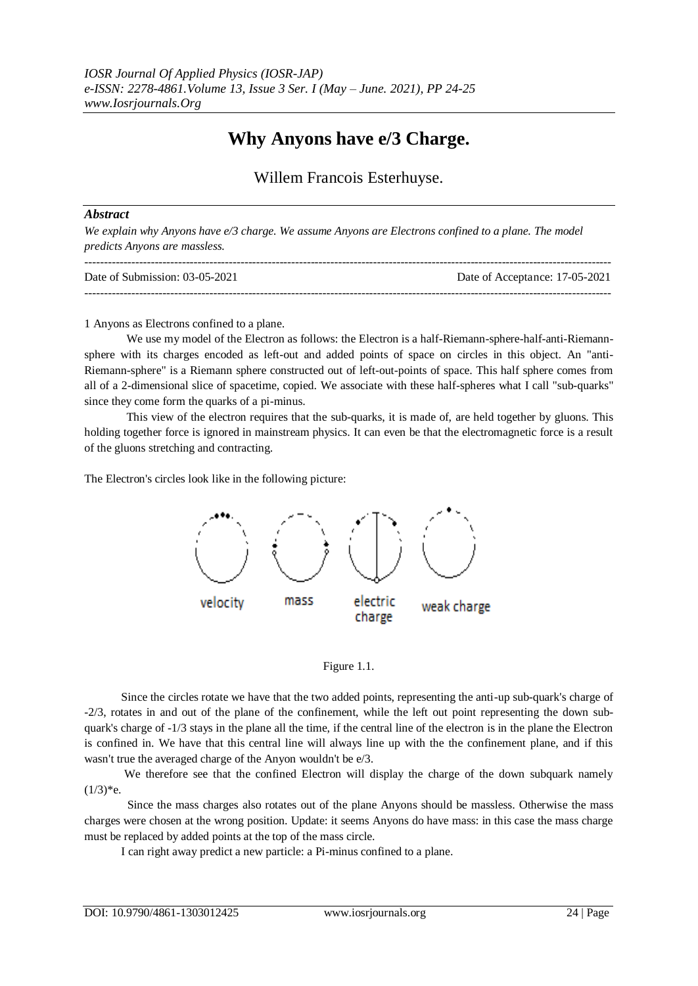# **Why Anyons have e/3 Charge.**

## Willem Francois Esterhuyse.

### *Abstract*

*We explain why Anyons have e/3 charge. We assume Anyons are Electrons confined to a plane. The model predicts Anyons are massless.*

| Date of Submission: $03-05-2021$ | Date of Acceptance: 17-05-2021 |
|----------------------------------|--------------------------------|
|                                  |                                |

#### 1 Anyons as Electrons confined to a plane.

We use my model of the Electron as follows: the Electron is a half-Riemann-sphere-half-anti-Riemannsphere with its charges encoded as left-out and added points of space on circles in this object. An "anti-Riemann-sphere" is a Riemann sphere constructed out of left-out-points of space. This half sphere comes from all of a 2-dimensional slice of spacetime, copied. We associate with these half-spheres what I call "sub-quarks" since they come form the quarks of a pi-minus.

This view of the electron requires that the sub-quarks, it is made of, are held together by gluons. This holding together force is ignored in mainstream physics. It can even be that the electromagnetic force is a result of the gluons stretching and contracting.

The Electron's circles look like in the following picture:





Since the circles rotate we have that the two added points, representing the anti-up sub-quark's charge of -2/3, rotates in and out of the plane of the confinement, while the left out point representing the down subquark's charge of -1/3 stays in the plane all the time, if the central line of the electron is in the plane the Electron is confined in. We have that this central line will always line up with the the confinement plane, and if this wasn't true the averaged charge of the Anyon wouldn't be e/3.

We therefore see that the confined Electron will display the charge of the down subquark namely  $(1/3)*e.$ 

 Since the mass charges also rotates out of the plane Anyons should be massless. Otherwise the mass charges were chosen at the wrong position. Update: it seems Anyons do have mass: in this case the mass charge must be replaced by added points at the top of the mass circle.

I can right away predict a new particle: a Pi-minus confined to a plane.